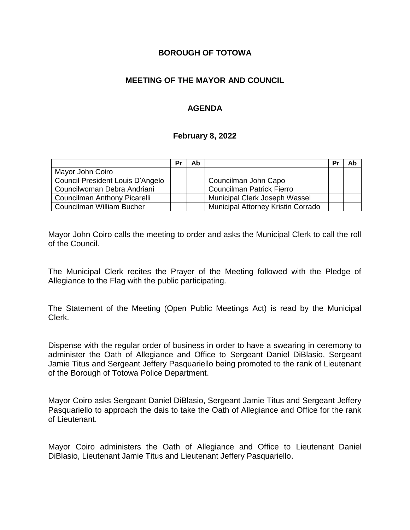### **BOROUGH OF TOTOWA**

## **MEETING OF THE MAYOR AND COUNCIL**

## **AGENDA**

#### **February 8, 2022**

|                                  | Pr | Ab |                                           | Pr | Ab |
|----------------------------------|----|----|-------------------------------------------|----|----|
| Mayor John Coiro                 |    |    |                                           |    |    |
| Council President Louis D'Angelo |    |    | Councilman John Capo                      |    |    |
| Councilwoman Debra Andriani      |    |    | <b>Councilman Patrick Fierro</b>          |    |    |
| Councilman Anthony Picarelli     |    |    | <b>Municipal Clerk Joseph Wassel</b>      |    |    |
| Councilman William Bucher        |    |    | <b>Municipal Attorney Kristin Corrado</b> |    |    |

Mayor John Coiro calls the meeting to order and asks the Municipal Clerk to call the roll of the Council.

The Municipal Clerk recites the Prayer of the Meeting followed with the Pledge of Allegiance to the Flag with the public participating.

The Statement of the Meeting (Open Public Meetings Act) is read by the Municipal Clerk.

Dispense with the regular order of business in order to have a swearing in ceremony to administer the Oath of Allegiance and Office to Sergeant Daniel DiBlasio, Sergeant Jamie Titus and Sergeant Jeffery Pasquariello being promoted to the rank of Lieutenant of the Borough of Totowa Police Department.

Mayor Coiro asks Sergeant Daniel DiBlasio, Sergeant Jamie Titus and Sergeant Jeffery Pasquariello to approach the dais to take the Oath of Allegiance and Office for the rank of Lieutenant.

Mayor Coiro administers the Oath of Allegiance and Office to Lieutenant Daniel DiBlasio, Lieutenant Jamie Titus and Lieutenant Jeffery Pasquariello.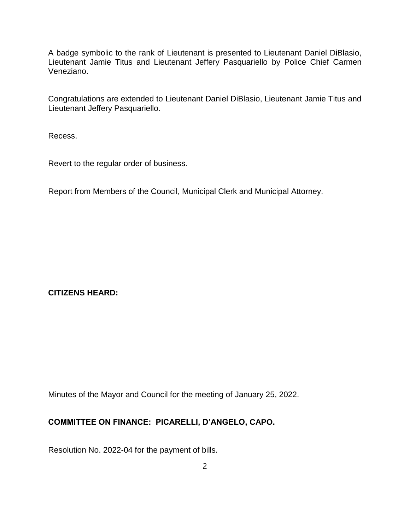A badge symbolic to the rank of Lieutenant is presented to Lieutenant Daniel DiBlasio, Lieutenant Jamie Titus and Lieutenant Jeffery Pasquariello by Police Chief Carmen Veneziano.

Congratulations are extended to Lieutenant Daniel DiBlasio, Lieutenant Jamie Titus and Lieutenant Jeffery Pasquariello.

Recess.

Revert to the regular order of business.

Report from Members of the Council, Municipal Clerk and Municipal Attorney.

**CITIZENS HEARD:**

Minutes of the Mayor and Council for the meeting of January 25, 2022.

# **COMMITTEE ON FINANCE: PICARELLI, D'ANGELO, CAPO.**

Resolution No. 2022-04 for the payment of bills.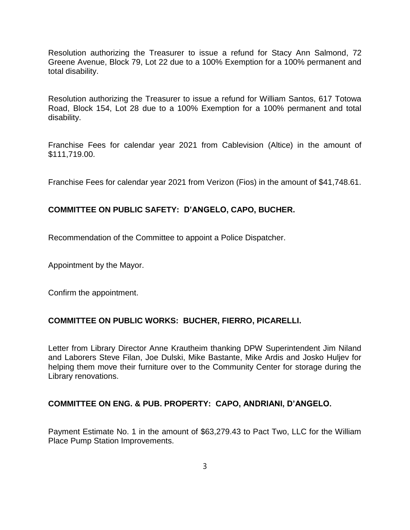Resolution authorizing the Treasurer to issue a refund for Stacy Ann Salmond, 72 Greene Avenue, Block 79, Lot 22 due to a 100% Exemption for a 100% permanent and total disability.

Resolution authorizing the Treasurer to issue a refund for William Santos, 617 Totowa Road, Block 154, Lot 28 due to a 100% Exemption for a 100% permanent and total disability.

Franchise Fees for calendar year 2021 from Cablevision (Altice) in the amount of \$111,719.00.

Franchise Fees for calendar year 2021 from Verizon (Fios) in the amount of \$41,748.61.

#### **COMMITTEE ON PUBLIC SAFETY: D'ANGELO, CAPO, BUCHER.**

Recommendation of the Committee to appoint a Police Dispatcher.

Appointment by the Mayor.

Confirm the appointment.

#### **COMMITTEE ON PUBLIC WORKS: BUCHER, FIERRO, PICARELLI.**

Letter from Library Director Anne Krautheim thanking DPW Superintendent Jim Niland and Laborers Steve Filan, Joe Dulski, Mike Bastante, Mike Ardis and Josko Huljev for helping them move their furniture over to the Community Center for storage during the Library renovations.

#### **COMMITTEE ON ENG. & PUB. PROPERTY: CAPO, ANDRIANI, D'ANGELO.**

Payment Estimate No. 1 in the amount of \$63,279.43 to Pact Two, LLC for the William Place Pump Station Improvements.